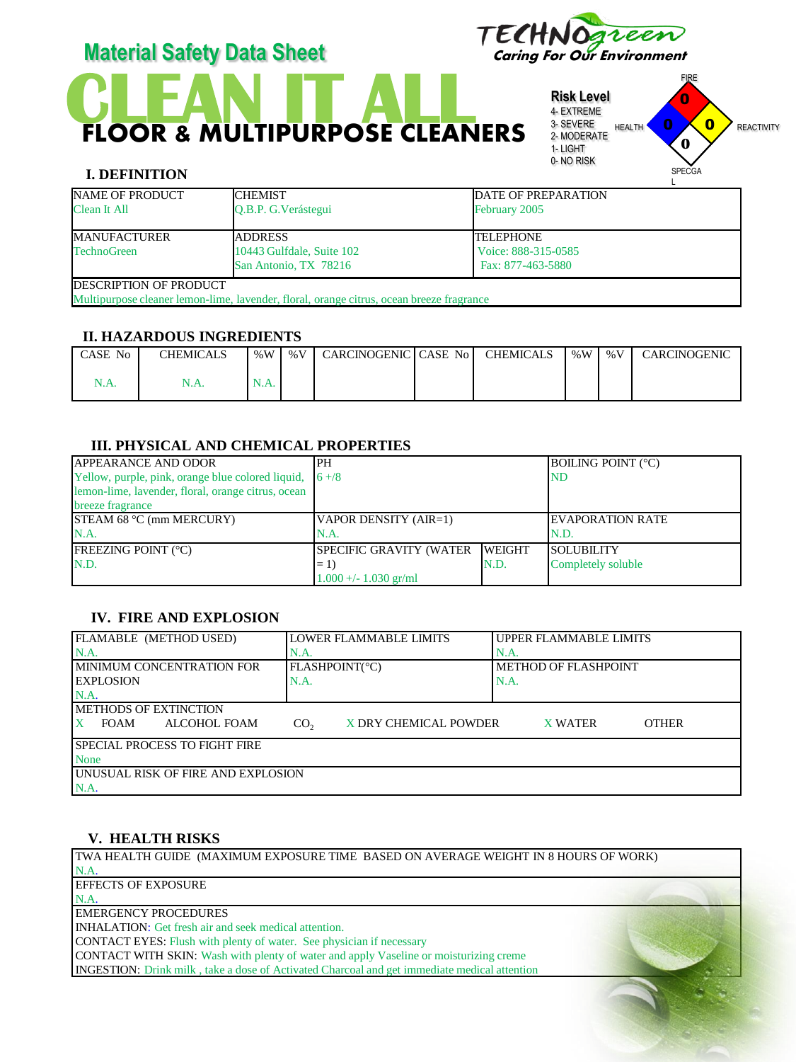

# **CLEAN IT ALL** FLOOR & MULTIPURPOSE CLEANERS



reen

#### **I. DEFINITION**

| $\overline{1}$ |  |
|----------------|--|
|                |  |
| _________      |  |

| NAME OF PRODUCT                                                                          | <b>ICHEMIST</b>           | <b>DATE OF PREPARATION</b> |  |  |  |  |
|------------------------------------------------------------------------------------------|---------------------------|----------------------------|--|--|--|--|
| <b>Clean It All</b>                                                                      | O.B.P. G. Verástegui      | February 2005              |  |  |  |  |
| <b>MANUFACTURER</b>                                                                      | <b>JADDRESS</b>           | <b>TELEPHONE</b>           |  |  |  |  |
| <b>TechnoGreen</b>                                                                       | 10443 Gulfdale, Suite 102 | Voice: 888-315-0585        |  |  |  |  |
|                                                                                          | San Antonio, TX 78216     | Fax: 877-463-5880          |  |  |  |  |
| <b>DESCRIPTION OF PRODUCT</b>                                                            |                           |                            |  |  |  |  |
| Multipurpose cleaner lemon-lime, lavender, floral, orange citrus, ocean breeze fragrance |                           |                            |  |  |  |  |

#### **II. HAZARDOUS INGREDIENTS**

| CASE No | <b>CHEMICALS</b> | % $W$ | % V | CARCINOGENIC CASE No | <b>CHEMICALS</b> | %W | $\%$ V | CARCINOGENIC |
|---------|------------------|-------|-----|----------------------|------------------|----|--------|--------------|
| N.A.    | $\ldots$         |       |     |                      |                  |    |        |              |

# **III. PHYSICAL AND CHEMICAL PROPERTIES**

| <b>APPEARANCE AND ODOR</b>                                               | PH                             |                | <b>BOILING POINT (°C)</b> |
|--------------------------------------------------------------------------|--------------------------------|----------------|---------------------------|
| Yellow, purple, pink, orange blue colored liquid, $\left 6 + / 8\right $ |                                |                | IND                       |
| lemon-lime, lavender, floral, orange citrus, ocean                       |                                |                |                           |
| breeze fragrance                                                         |                                |                |                           |
| STEAM 68 °C (mm MERCURY)                                                 | VAPOR DENSITY (AIR=1)          |                | <b>IEVAPORATION RATE</b>  |
| N.A.                                                                     | N.A.                           |                | IN.D.                     |
| <b>FREEZING POINT (°C)</b>                                               | <b>SPECIFIC GRAVITY (WATER</b> | <b>IWEIGHT</b> | <b>SOLUBILITY</b>         |
| N.D.                                                                     | $=1$                           | N.D.           | Completely soluble        |
|                                                                          | $1.000 +/- 1.030$ gr/ml        |                |                           |

#### **IV. FIRE AND EXPLOSION**

| FLAMABLE (METHOD USED)                      | <b>LOWER FLAMMABLE LIMITS</b>            | <b>UPPER FLAMMABLE LIMITS</b>  |  |  |
|---------------------------------------------|------------------------------------------|--------------------------------|--|--|
| N.A                                         | N.A.                                     | N.A                            |  |  |
| <b>IMINIMUM CONCENTRATION FOR</b>           | FLASHPOINT(°C)                           | METHOD OF FLASHPOINT           |  |  |
| <b>EXPLOSION</b>                            | N.A.                                     | $NA$ .                         |  |  |
| N.A                                         |                                          |                                |  |  |
| <b>IMETHODS OF EXTINCTION</b>               |                                          |                                |  |  |
| $\mathbf{X}$<br>ALCOHOL FOAM<br><b>FOAM</b> | X DRY CHEMICAL POWDER<br>CO <sub>2</sub> | <b>OTHER</b><br><b>X WATER</b> |  |  |
| <b>SPECIAL PROCESS TO FIGHT FIRE</b>        |                                          |                                |  |  |
| <b>None</b>                                 |                                          |                                |  |  |
| UNUSUAL RISK OF FIRE AND EXPLOSION          |                                          |                                |  |  |
| N.A.                                        |                                          |                                |  |  |

# **V. HEALTH RISKS**

TWA HEALTH GUIDE (MAXIMUM EXPOSURE TIME BASED ON AVERAGE WEIGHT IN 8 HOURS OF WORK) N.A. EFFECTS OF EXPOSURE N.A. EMERGENCY PROCEDURES INHALATION: Get fresh air and seek medical attention. CONTACT EYES: Flush with plenty of water. See physician if necessary CONTACT WITH SKIN: Wash with plenty of water and apply Vaseline or moisturizing creme INGESTION: Drink milk , take a dose of Activated Charcoal and get immediate medical attention